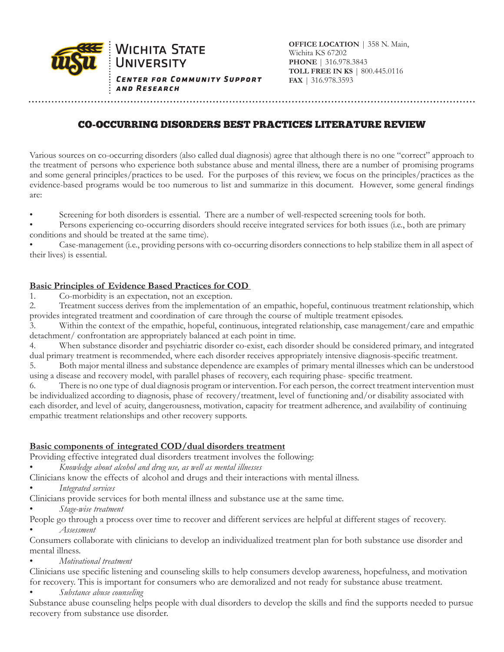

**WICHITA STATE UNIVERSITY** CENTER FOR COMMUNITY SUPPORT AND RESEARCH

**OFFICE LOCATION** | 358 N. Main, Wichita KS 67202 **PHONE** | 316.978.3843 **TOLL FREE IN KS** | 800.445.0116 **FAX** | 316.978.3593

# CO-OCCURRING DISORDERS BEST PRACTICES LITERATURE REVIEW

Various sources on co-occurring disorders (also called dual diagnosis) agree that although there is no one "correct" approach to the treatment of persons who experience both substance abuse and mental illness, there are a number of promising programs and some general principles/practices to be used. For the purposes of this review, we focus on the principles/practices as the evidence-based programs would be too numerous to list and summarize in this document. However, some general findings are:

- Screening for both disorders is essential. There are a number of well-respected screening tools for both.
- Persons experiencing co-occurring disorders should receive integrated services for both issues (i.e., both are primary conditions and should be treated at the same time).

• Case-management (i.e., providing persons with co-occurring disorders connections to help stabilize them in all aspect of their lives) is essential.

### **Basic Principles of Evidence Based Practices for COD**

1. Co-morbidity is an expectation, not an exception.

2. Treatment success derives from the implementation of an empathic, hopeful, continuous treatment relationship, which provides integrated treatment and coordination of care through the course of multiple treatment episodes.

3. Within the context of the empathic, hopeful, continuous, integrated relationship, case management/care and empathic detachment/ confrontation are appropriately balanced at each point in time.

4. When substance disorder and psychiatric disorder co-exist, each disorder should be considered primary, and integrated dual primary treatment is recommended, where each disorder receives appropriately intensive diagnosis-specific treatment.

5. Both major mental illness and substance dependence are examples of primary mental illnesses which can be understood using a disease and recovery model, with parallel phases of recovery, each requiring phase- specific treatment.

6. There is no one type of dual diagnosis program or intervention. For each person, the correct treatment intervention must be individualized according to diagnosis, phase of recovery/treatment, level of functioning and/or disability associated with each disorder, and level of acuity, dangerousness, motivation, capacity for treatment adherence, and availability of continuing empathic treatment relationships and other recovery supports.

### **Basic components of integrated COD/dual disorders treatment**

Providing effective integrated dual disorders treatment involves the following:

• *Knowledge about alcohol and drug use, as well as mental illnesses*

Clinicians know the effects of alcohol and drugs and their interactions with mental illness.

• *Integrated services*

Clinicians provide services for both mental illness and substance use at the same time.

• *Stage-wise treatment*

People go through a process over time to recover and different services are helpful at different stages of recovery. • *Assessment*

Consumers collaborate with clinicians to develop an individualized treatment plan for both substance use disorder and mental illness.

• *Motivational treatment*

Clinicians use specific listening and counseling skills to help consumers develop awareness, hopefulness, and motivation for recovery. This is important for consumers who are demoralized and not ready for substance abuse treatment.

• *Substance abuse counseling*

Substance abuse counseling helps people with dual disorders to develop the skills and find the supports needed to pursue recovery from substance use disorder.